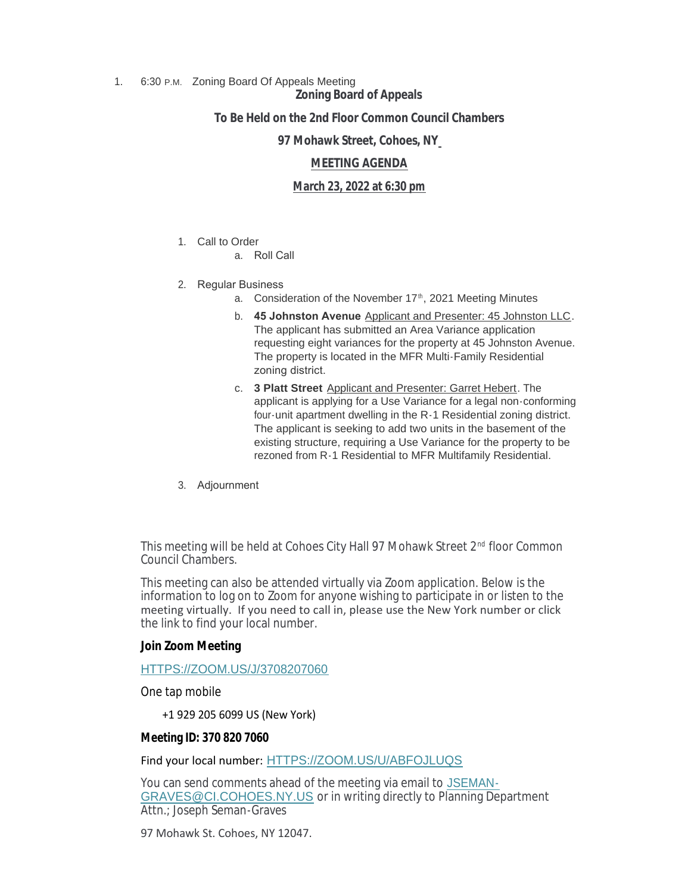## 1. 6:30 P.M. Zoning Board Of Appeals Meeting

# **Zoning Board of Appeals**

# **To Be Held on the 2nd Floor Common Council Chambers**

### **97 Mohawk Street, Cohoes, NY**

## **MEETING AGENDA**

## **March 23, 2022 at 6:30 pm**

#### 1. Call to Order

a. Roll Call

## 2. Regular Business

- a. Consideration of the November 17<sup>th</sup>, 2021 Meeting Minutes
- b. **45 Johnston Avenue** Applicant and Presenter: 45 Johnston LLC. The applicant has submitted an Area Variance application requesting eight variances for the property at 45 Johnston Avenue. The property is located in the MFR Multi-Family Residential zoning district.
- c. **3 Platt Street** Applicant and Presenter: Garret Hebert. The applicant is applying for a Use Variance for a legal non-conforming four-unit apartment dwelling in the R-1 Residential zoning district. The applicant is seeking to add two units in the basement of the existing structure, requiring a Use Variance for the property to be rezoned from R-1 Residential to MFR Multifamily Residential.
- 3. Adjournment

This meeting will be held at Cohoes City Hall 97 Mohawk Street 2<sup>nd</sup> floor Common Council Chambers.

This meeting can also be attended virtually via Zoom application. Below is the information to log on to Zoom for anyone wishing to participate in or listen to the meeting virtually. If you need to call in, please use the New York number or click the link to find your local number.

# **Join Zoom Meeting**

#### [HTTPS://ZOOM.US/J/3708207060](https://zoom.us/j/3708207060)

One tap mobile

+1 929 205 6099 US (New York)

#### **Meeting ID: 370 820 7060**

Find your local number: [HTTPS://ZOOM.US/U/ABFOJLUQS](https://zoom.us/u/abFoJLUQs)

You can send comments ahead of the meeting via email to JSEMAN-GRAVES@CI.COHOES.NY.US or in writing directly to P[lanning Department](mailto:jseman-graves@ci.cohoes.ny.us)  Attn.; Joseph Seman-Graves

97 Mohawk St. Cohoes, NY 12047.